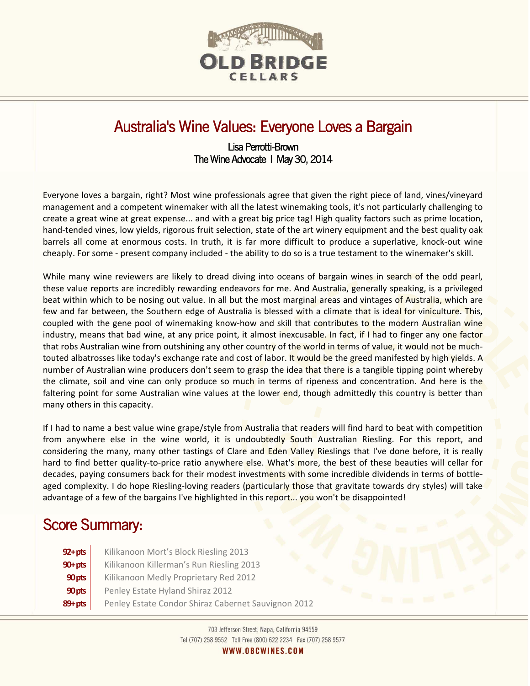

# Australia's Wine Values: Everyone Loves a Bargain

# Lisa Perrotti-Brown The Wine Advocate | May 30, 2014

Everyone loves a bargain, right? Most wine professionals agree that given the right piece of land, vines/vineyard management and a competent winemaker with all the latest winemaking tools, it's not particularly challenging to create a great wine at great expense... and with a great big price tag! High quality factors such as prime location, hand-tended vines, low yields, rigorous fruit selection, state of the art winery equipment and the best quality oak barrels all come at enormous costs. In truth, it is far more difficult to produce a superlative, knock-out wine cheaply. For some - present company included - the ability to do so is a true testament to the winemaker's skill.

While many wine reviewers are likely to dread diving into oceans of bargain wines in search of the odd pearl, these value reports are incredibly rewarding endeavors for me. And Australia, generally speaking, is a privileged beat within which to be nosing out value. In all but the most marginal areas and vintages of Australia, which are few and far between, the Southern edge of Australia is blessed with a climate that is ideal for viniculture. This, coupled with the gene pool of winemaking know-how and skill that contributes to the modern Australian wine industry, means that bad wine, at any price point, it almost inexcusable. In fact, if I had to finger any one factor that robs Australian wine from outshining any other country of the world in terms of value, it would not be muchtouted albatrosses like today's exchange rate and cost of labor. It would be the greed manifested by high yields. A number of Australian wine producers don't seem to grasp the idea that there is a tangible tipping point whereby the climate, soil and vine can only produce so much in terms of ripeness and concentration. And here is the faltering point for some Australian wine values at the lower end, though admittedly this country is better than many others in this capacity.

If I had to name a best value wine grape/style from Australia that readers will find hard to beat with competition from anywhere else in the wine world, it is undoubtedly South Australian Riesling. For this report, and considering the many, many other tastings of Clare and Eden Valley Rieslings that I've done before, it is really hard to find better quality-to-price ratio anywhere else. What's more, the best of these beauties will cellar for decades, paying consumers back for their modest investments with some incredible dividends in terms of bottleaged complexity. I do hope Riesling-loving readers (particularly those that gravitate towards dry styles) will take advantage of a few of the bargains I've highlighted in this report... you won't be disappointed!

# Score Summary:

 $\overline{a}$ 

**92+pts** | Kilikanoon Mort's Block Riesling 2013 **90+pts** | Kilikanoon Killerman's Run Riesling 2013 **90pts** | Kilikanoon Medly Proprietary Red 2012 **90 pts** Penley Estate Hyland Shiraz 2012 **89+ pts** Penley Estate Condor Shiraz Cabernet Sauvignon 2012

> 703 Jefferson Street, Napa, California 94559 Tel (707) 258 9552 Toll Free (800) 622 2234 Fax (707) 258 9577 WWW.OBCWINES.COM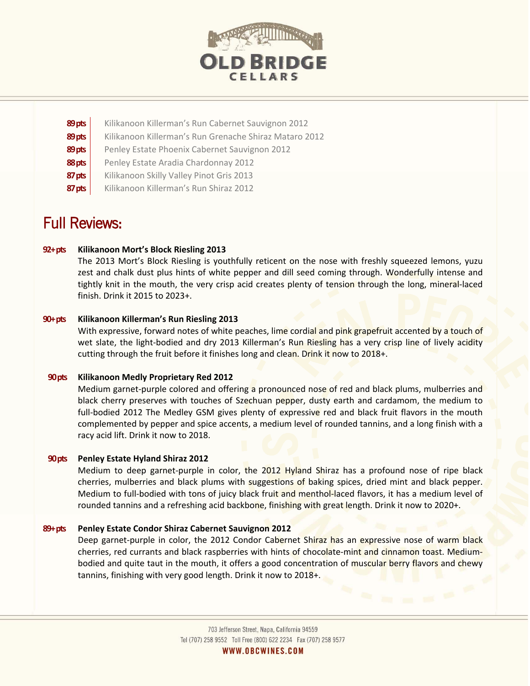

| 89 pts | Kilikanoon Killerman's Run Cabernet Sauvignon 2012     |
|--------|--------------------------------------------------------|
| 89 pts | Kilikanoon Killerman's Run Grenache Shiraz Mataro 2012 |
| 89 pts | Penley Estate Phoenix Cabernet Sauvignon 2012          |
| 88 pts | Penley Estate Aradia Chardonnay 2012                   |
| 87 pts | Kilikanoon Skilly Valley Pinot Gris 2013               |
| 87 pts | Kilikanoon Killerman's Run Shiraz 2012                 |

# Full Reviews:

## **92+ pts Kilikanoon Mort's Block Riesling 2013**

The 2013 Mort's Block Riesling is youthfully reticent on the nose with freshly squeezed lemons, yuzu zest and chalk dust plus hints of white pepper and dill seed coming through. Wonderfully intense and tightly knit in the mouth, the very crisp acid creates plenty of tension through the long, mineral-laced finish. Drink it 2015 to 2023+.

## **90+ pts Kilikanoon Killerman's Run Riesling 2013**

With expressive, forward notes of white peaches, lime cordial and pink grapefruit accented by a touch of wet slate, the light-bodied and dry 2013 Killerman's Run Riesling has a very crisp line of lively acidity cutting through the fruit before it finishes long and clean. Drink it now to 2018+.

## **90 pts Kilikanoon Medly Proprietary Red 2012**

Medium garnet-purple colored and offering a pronounced nose of red and black plums, mulberries and black cherry preserves with touches of Szechuan pepper, dusty earth and cardamom, the medium to full-bodied 2012 The Medley GSM gives plenty of expressive red and black fruit flavors in the mouth complemented by pepper and spice accents, a medium level of rounded tannins, and a long finish with a racy acid lift. Drink it now to 2018.

## **90 pts Penley Estate Hyland Shiraz 2012**

Medium to deep garnet-purple in color, the 2012 Hyland Shiraz has a profound nose of ripe black cherries, mulberries and black plums with suggestions of baking spices, dried mint and black pepper. Medium to full-bodied with tons of juicy black fruit and menthol-laced flavors, it has a medium level of rounded tannins and a refreshing acid backbone, finishing with great length. Drink it now to 2020+.

## **89+ pts Penley Estate Condor Shiraz Cabernet Sauvignon 2012**

Deep garnet-purple in color, the 2012 Condor Cabernet Shiraz has an expressive nose of warm black cherries, red currants and black raspberries with hints of chocolate-mint and cinnamon toast. Mediumbodied and quite taut in the mouth, it offers a good concentration of muscular berry flavors and chewy tannins, finishing with very good length. Drink it now to 2018+.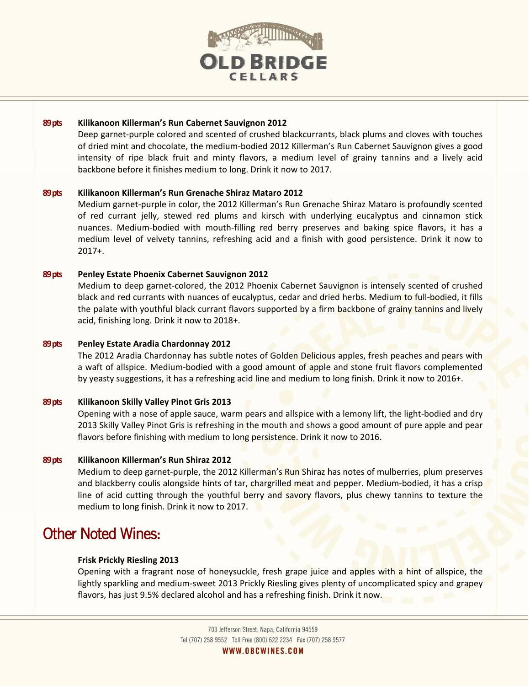

#### **89 pts Kilikanoon Killerman's Run Cabernet Sauvignon 2012**

Deep garnet-purple colored and scented of crushed blackcurrants, black plums and cloves with touches of dried mint and chocolate, the medium-bodied 2012 Killerman's Run Cabernet Sauvignon gives a good intensity of ripe black fruit and minty flavors, a medium level of grainy tannins and a lively acid backbone before it finishes medium to long. Drink it now to 2017.

#### **89 pts Kilikanoon Killerman's Run Grenache Shiraz Mataro 2012**

Medium garnet-purple in color, the 2012 Killerman's Run Grenache Shiraz Mataro is profoundly scented of red currant jelly, stewed red plums and kirsch with underlying eucalyptus and cinnamon stick nuances. Medium-bodied with mouth-filling red berry preserves and baking spice flavors, it has a medium level of velvety tannins, refreshing acid and a finish with good persistence. Drink it now to 2017+.

#### **89 pts Penley Estate Phoenix Cabernet Sauvignon 2012**

Medium to deep garnet-colored, the 2012 Phoenix Cabernet Sauvignon is intensely scented of crushed black and red currants with nuances of eucalyptus, cedar and dried herbs. Medium to full-bodied, it fills the palate with youthful black currant flavors supported by a firm backbone of grainy tannins and lively acid, finishing long. Drink it now to 2018+.

#### **89 pts Penley Estate Aradia Chardonnay 2012**

The 2012 Aradia Chardonnay has subtle notes of Golden Delicious apples, fresh peaches and pears with a waft of allspice. Medium-bodied with a good amount of apple and stone fruit flavors complemented by yeasty suggestions, it has a refreshing acid line and medium to long finish. Drink it now to 2016+.

#### **89 pts Kilikanoon Skilly Valley Pinot Gris 2013**

Opening with a nose of apple sauce, warm pears and allspice with a lemony lift, the light-bodied and dry 2013 Skilly Valley Pinot Gris is refreshing in the mouth and shows a good amount of pure apple and pear flavors before finishing with medium to long persistence. Drink it now to 2016.

#### **89 pts Kilikanoon Killerman's Run Shiraz 2012**

Medium to deep garnet-purple, the 2012 Killerman's Run Shiraz has notes of mulberries, plum preserves and blackberry coulis alongside hints of tar, chargrilled meat and pepper. Medium-bodied, it has a crisp line of acid cutting through the youthful berry and savory flavors, plus chewy tannins to texture the medium to long finish. Drink it now to 2017.

# Other Noted Wines:

#### **Frisk Prickly Riesling 2013**

Opening with a fragrant nose of honeysuckle, fresh grape juice and apples with a hint of allspice, the lightly sparkling and medium-sweet 2013 Prickly Riesling gives plenty of uncomplicated spicy and grapey flavors, has just 9.5% declared alcohol and has a refreshing finish. Drink it now.